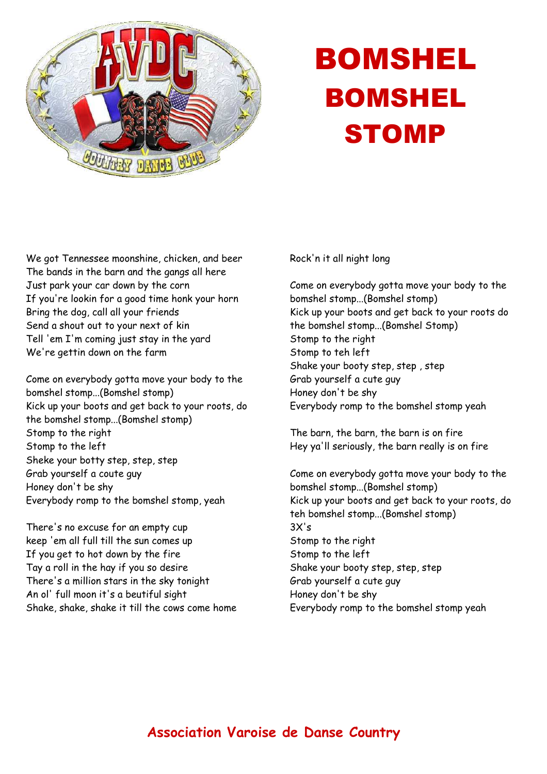

## BOMSHEL BOMSHEL **STOMP**

We got Tennessee moonshine, chicken, and beer The bands in the barn and the gangs all here Just park your car down by the corn If you're lookin for a good time honk your horn Bring the dog, call all your friends Send a shout out to your next of kin Tell 'em I'm coming just stay in the yard We're gettin down on the farm

Come on everybody gotta move your body to the bomshel stomp...(Bomshel stomp) Kick up your boots and get back to your roots, do the bomshel stomp...(Bomshel stomp) Stomp to the right Stomp to the left Sheke your botty step, step, step Grab yourself a coute guy Honey don't be shy Everybody romp to the bomshel stomp, yeah

There's no excuse for an empty cup keep 'em all full till the sun comes up If you get to hot down by the fire Tay a roll in the hay if you so desire There's a million stars in the sky tonight An ol' full moon it's a beutiful sight Shake, shake, shake it till the cows come home

## Rock'n it all night long

Come on everybody gotta move your body to the bomshel stomp...(Bomshel stomp) Kick up your boots and get back to your roots do the bomshel stomp...(Bomshel Stomp) Stomp to the right Stomp to teh left Shake your booty step, step , step Grab yourself a cute guy Honey don't be shy Everybody romp to the bomshel stomp yeah

The barn, the barn, the barn is on fire Hey ya'll seriously, the barn really is on fire

Come on everybody gotta move your body to the bomshel stomp...(Bomshel stomp) Kick up your boots and get back to your roots, do teh bomshel stomp...(Bomshel stomp)  $3X's$ Stomp to the right Stomp to the left Shake your booty step, step, step Grab yourself a cute guy Honey don't be shy Everybody romp to the bomshel stomp yeah